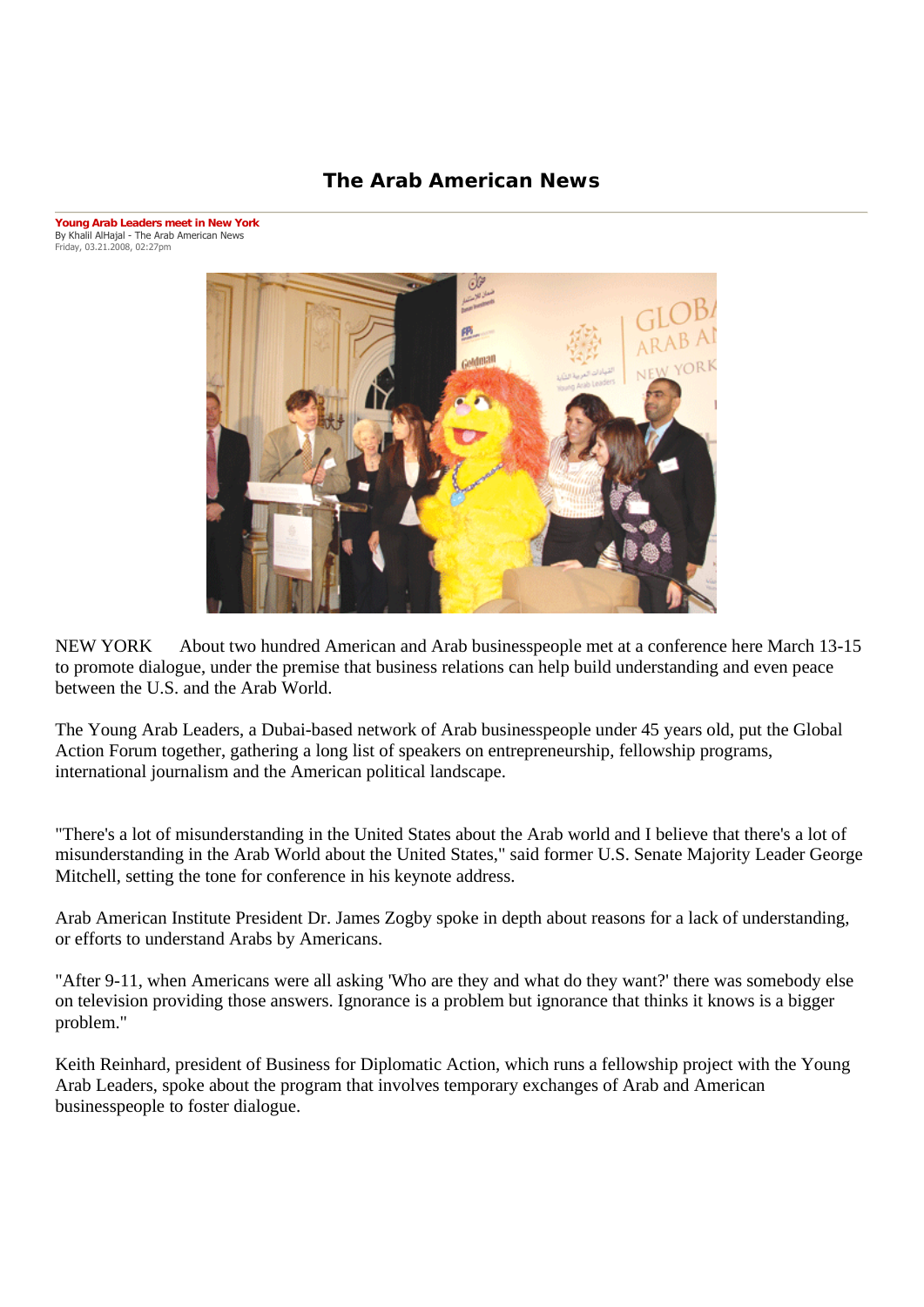## **The Arab American News**

**Young Arab Leaders meet in New York** By Khalil AlHajal - The Arab American News Friday, 03.21.2008, 02:27pm



NEW YORK About two hundred American and Arab businesspeople met at a conference here March 13-15 to promote dialogue, under the premise that business relations can help build understanding and even peace between the U.S. and the Arab World.

The Young Arab Leaders, a Dubai-based network of Arab businesspeople under 45 years old, put the Global Action Forum together, gathering a long list of speakers on entrepreneurship, fellowship programs, international journalism and the American political landscape.

"There's a lot of misunderstanding in the United States about the Arab world and I believe that there's a lot of misunderstanding in the Arab World about the United States," said former U.S. Senate Majority Leader George Mitchell, setting the tone for conference in his keynote address.

Arab American Institute President Dr. James Zogby spoke in depth about reasons for a lack of understanding, or efforts to understand Arabs by Americans.

"After 9-11, when Americans were all asking 'Who are they and what do they want?' there was somebody else on television providing those answers. Ignorance is a problem but ignorance that thinks it knows is a bigger problem."

Keith Reinhard, president of Business for Diplomatic Action, which runs a fellowship project with the Young Arab Leaders, spoke about the program that involves temporary exchanges of Arab and American businesspeople to foster dialogue.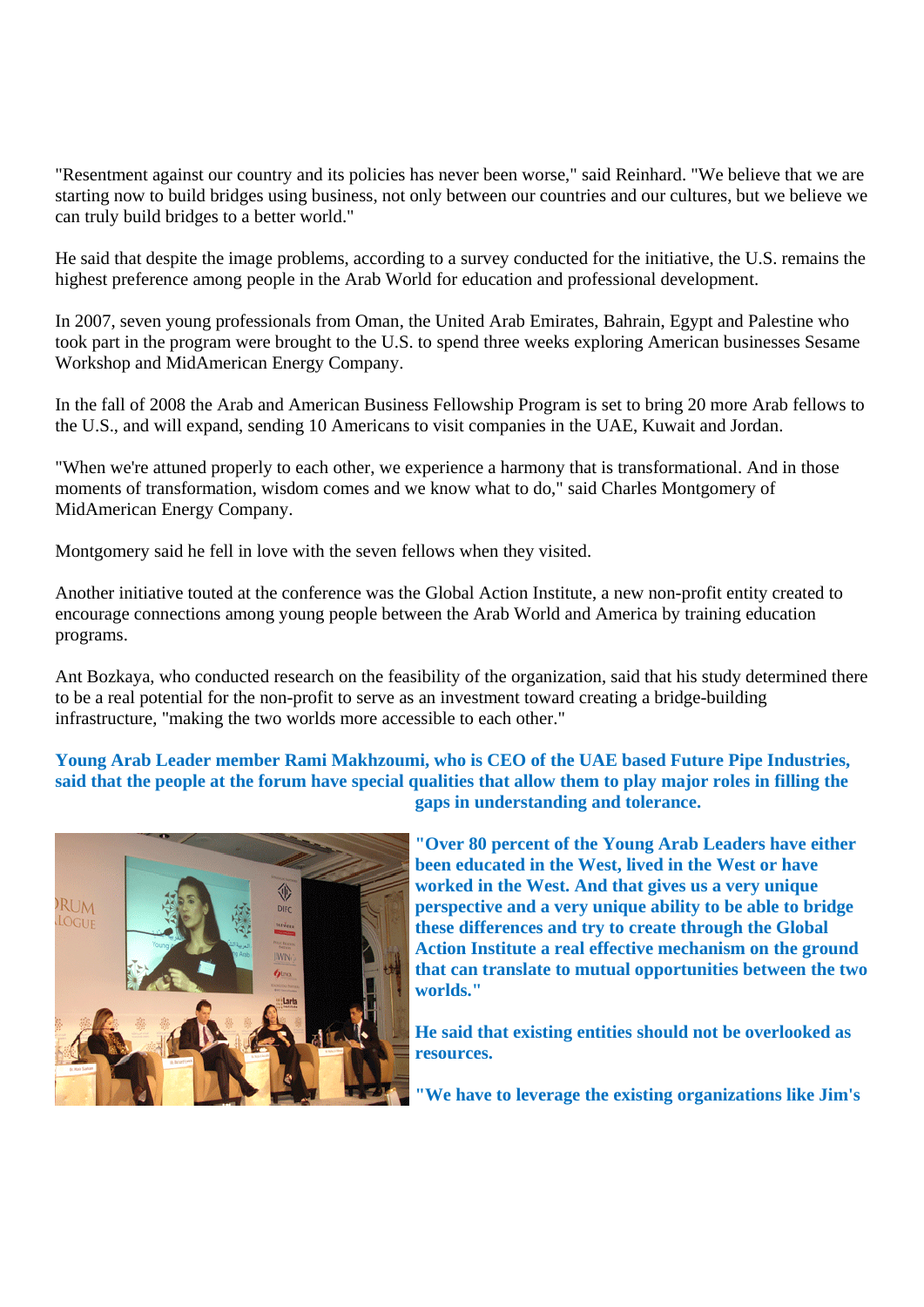"Resentment against our country and its policies has never been worse," said Reinhard. "We believe that we are starting now to build bridges using business, not only between our countries and our cultures, but we believe we can truly build bridges to a better world."

He said that despite the image problems, according to a survey conducted for the initiative, the U.S. remains the highest preference among people in the Arab World for education and professional development.

In 2007, seven young professionals from Oman, the United Arab Emirates, Bahrain, Egypt and Palestine who took part in the program were brought to the U.S. to spend three weeks exploring American businesses Sesame Workshop and MidAmerican Energy Company.

In the fall of 2008 the Arab and American Business Fellowship Program is set to bring 20 more Arab fellows to the U.S., and will expand, sending 10 Americans to visit companies in the UAE, Kuwait and Jordan.

"When we're attuned properly to each other, we experience a harmony that is transformational. And in those moments of transformation, wisdom comes and we know what to do," said Charles Montgomery of MidAmerican Energy Company.

Montgomery said he fell in love with the seven fellows when they visited.

Another initiative touted at the conference was the Global Action Institute, a new non-profit entity created to encourage connections among young people between the Arab World and America by training education programs.

Ant Bozkaya, who conducted research on the feasibility of the organization, said that his study determined there to be a real potential for the non-profit to serve as an investment toward creating a bridge-building infrastructure, "making the two worlds more accessible to each other."

**Young Arab Leader member Rami Makhzoumi, who is CEO of the UAE based Future Pipe Industries, said that the people at the forum have special qualities that allow them to play major roles in filling the gaps in understanding and tolerance.** 



**"Over 80 percent of the Young Arab Leaders have either been educated in the West, lived in the West or have worked in the West. And that gives us a very unique perspective and a very unique ability to be able to bridge these differences and try to create through the Global Action Institute a real effective mechanism on the ground that can translate to mutual opportunities between the two worlds."** 

**He said that existing entities should not be overlooked as resources.** 

**"We have to leverage the existing organizations like Jim's**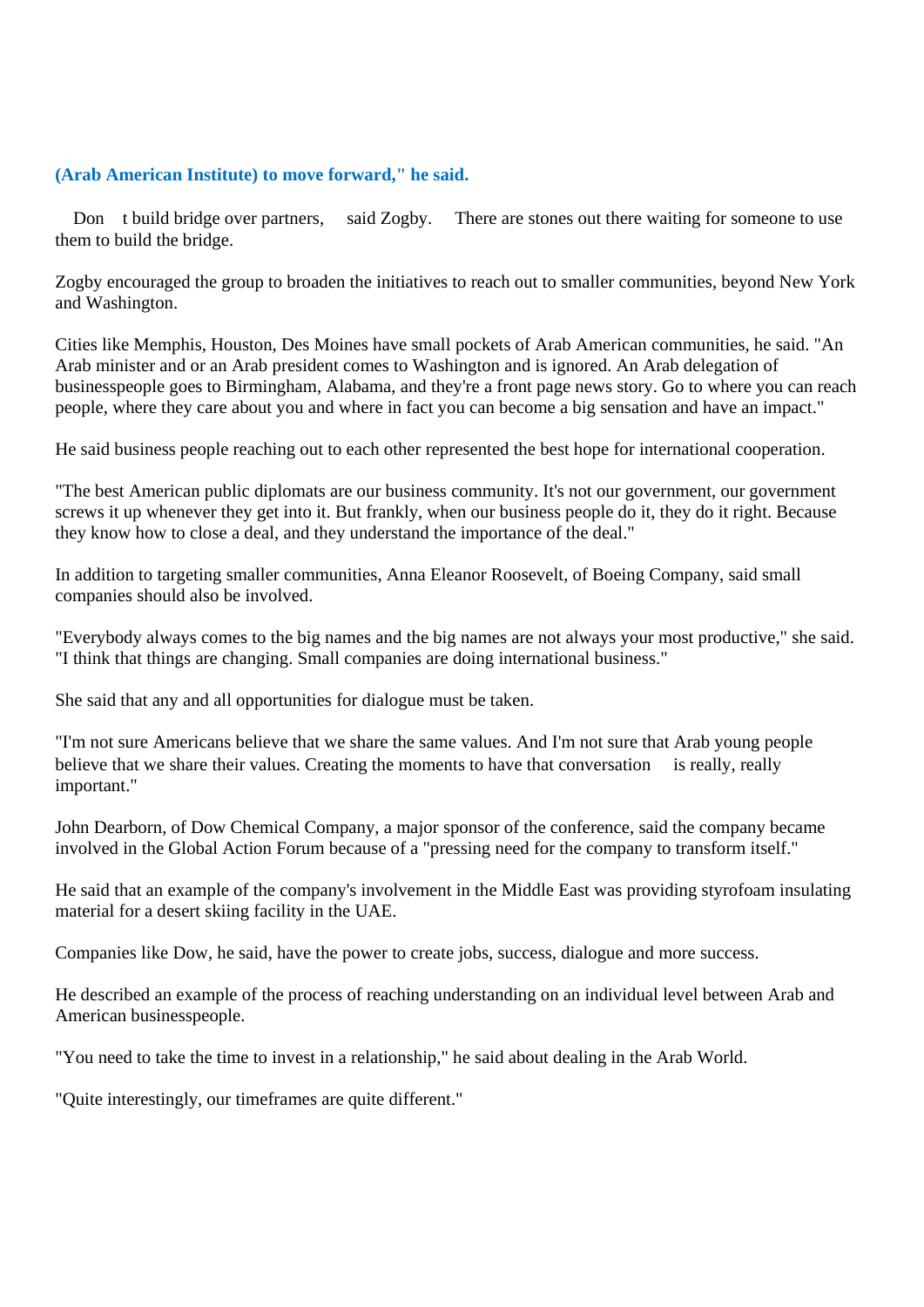## **(Arab American Institute) to move forward," he said.**

Don t build bridge over partners, said Zogby. There are stones out there waiting for someone to use them to build the bridge.

Zogby encouraged the group to broaden the initiatives to reach out to smaller communities, beyond New York and Washington.

Cities like Memphis, Houston, Des Moines have small pockets of Arab American communities, he said. "An Arab minister and or an Arab president comes to Washington and is ignored. An Arab delegation of businesspeople goes to Birmingham, Alabama, and they're a front page news story. Go to where you can reach people, where they care about you and where in fact you can become a big sensation and have an impact."

He said business people reaching out to each other represented the best hope for international cooperation.

"The best American public diplomats are our business community. It's not our government, our government screws it up whenever they get into it. But frankly, when our business people do it, they do it right. Because they know how to close a deal, and they understand the importance of the deal."

In addition to targeting smaller communities, Anna Eleanor Roosevelt, of Boeing Company, said small companies should also be involved.

"Everybody always comes to the big names and the big names are not always your most productive," she said. "I think that things are changing. Small companies are doing international business."

She said that any and all opportunities for dialogue must be taken.

"I'm not sure Americans believe that we share the same values. And I'm not sure that Arab young people believe that we share their values. Creating the moments to have that conversation is really, really important."

John Dearborn, of Dow Chemical Company, a major sponsor of the conference, said the company became involved in the Global Action Forum because of a "pressing need for the company to transform itself."

He said that an example of the company's involvement in the Middle East was providing styrofoam insulating material for a desert skiing facility in the UAE.

Companies like Dow, he said, have the power to create jobs, success, dialogue and more success.

He described an example of the process of reaching understanding on an individual level between Arab and American businesspeople.

"You need to take the time to invest in a relationship," he said about dealing in the Arab World.

"Quite interestingly, our timeframes are quite different."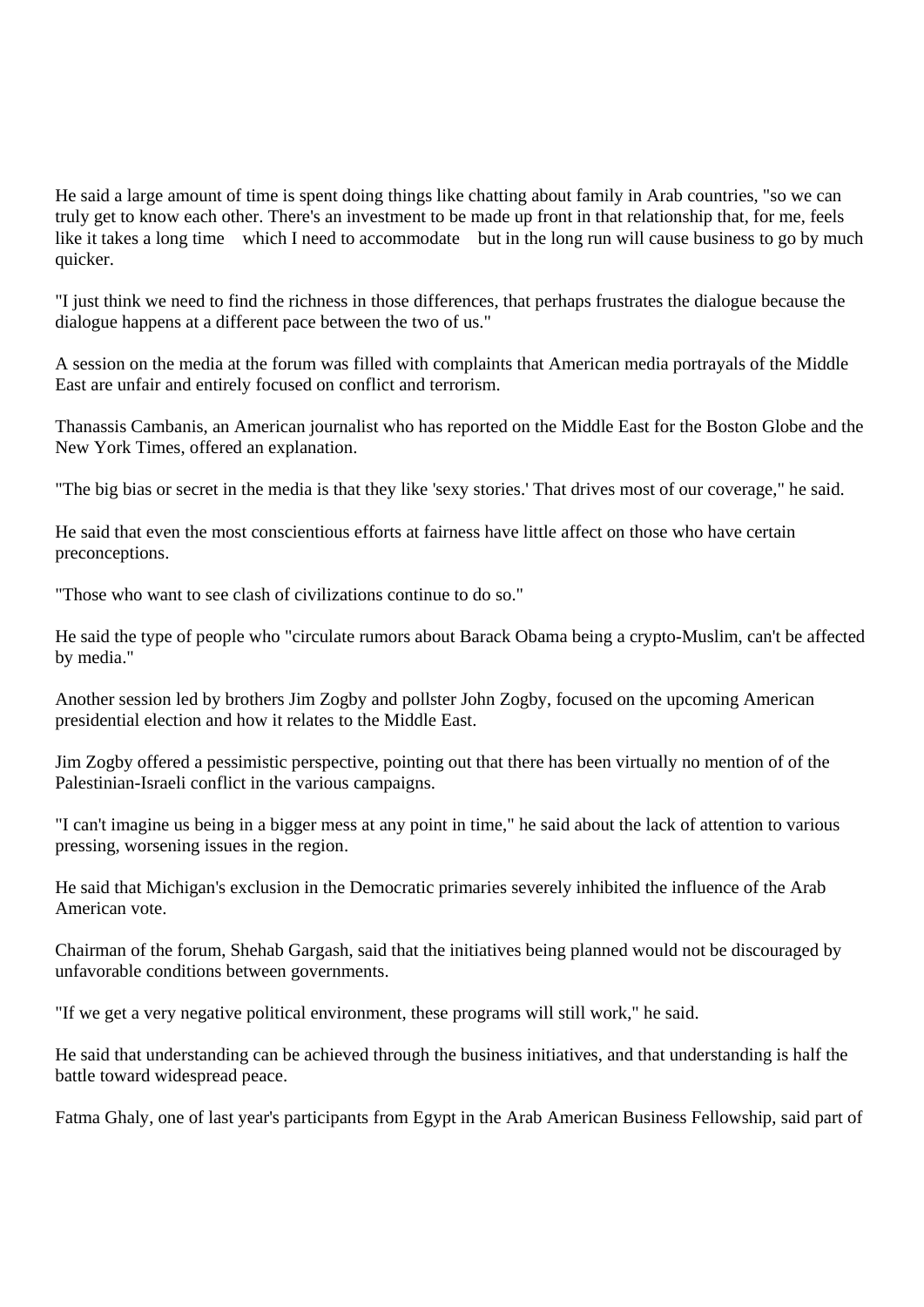He said a large amount of time is spent doing things like chatting about family in Arab countries, "so we can truly get to know each other. There's an investment to be made up front in that relationship that, for me, feels like it takes a long time which I need to accommodate but in the long run will cause business to go by much quicker.

"I just think we need to find the richness in those differences, that perhaps frustrates the dialogue because the dialogue happens at a different pace between the two of us."

A session on the media at the forum was filled with complaints that American media portrayals of the Middle East are unfair and entirely focused on conflict and terrorism.

Thanassis Cambanis, an American journalist who has reported on the Middle East for the Boston Globe and the New York Times, offered an explanation.

"The big bias or secret in the media is that they like 'sexy stories.' That drives most of our coverage," he said.

He said that even the most conscientious efforts at fairness have little affect on those who have certain preconceptions.

"Those who want to see clash of civilizations continue to do so."

He said the type of people who "circulate rumors about Barack Obama being a crypto-Muslim, can't be affected by media."

Another session led by brothers Jim Zogby and pollster John Zogby, focused on the upcoming American presidential election and how it relates to the Middle East.

Jim Zogby offered a pessimistic perspective, pointing out that there has been virtually no mention of of the Palestinian-Israeli conflict in the various campaigns.

"I can't imagine us being in a bigger mess at any point in time," he said about the lack of attention to various pressing, worsening issues in the region.

He said that Michigan's exclusion in the Democratic primaries severely inhibited the influence of the Arab American vote.

Chairman of the forum, Shehab Gargash, said that the initiatives being planned would not be discouraged by unfavorable conditions between governments.

"If we get a very negative political environment, these programs will still work," he said.

He said that understanding can be achieved through the business initiatives, and that understanding is half the battle toward widespread peace.

Fatma Ghaly, one of last year's participants from Egypt in the Arab American Business Fellowship, said part of